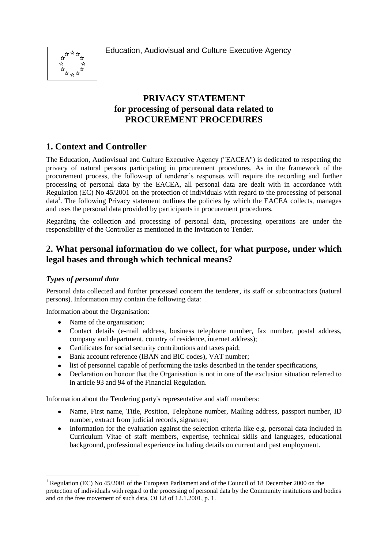Education, Audiovisual and Culture Executive Agency



# **PRIVACY STATEMENT for processing of personal data related to PROCUREMENT PROCEDURES**

# **1. Context and Controller**

The Education, Audiovisual and Culture Executive Agency ("EACEA") is dedicated to respecting the privacy of natural persons participating in procurement procedures. As in the framework of the procurement process, the follow-up of tenderer's responses will require the recording and further processing of personal data by the EACEA, all personal data are dealt with in accordance with Regulation (EC) No 45/2001 on the protection of individuals with regard to the processing of personal data<sup>1</sup>. The following Privacy statement outlines the policies by which the EACEA collects, manages and uses the personal data provided by participants in procurement procedures.

Regarding the collection and processing of personal data, processing operations are under the responsibility of the Controller as mentioned in the Invitation to Tender.

### **2. What personal information do we collect, for what purpose, under which legal bases and through which technical means?**

#### *Types of personal data*

1

Personal data collected and further processed concern the tenderer, its staff or subcontractors (natural persons). Information may contain the following data:

Information about the Organisation:

- Name of the organisation;
- Contact details (e-mail address, business telephone number, fax number, postal address, company and department, country of residence, internet address);
- Certificates for social security contributions and taxes paid;
- Bank account reference (IBAN and BIC codes), VAT number;
- list of personnel capable of performing the tasks described in the tender specifications,
- Declaration on honour that the Organisation is not in one of the exclusion situation referred to in article 93 and 94 of the Financial Regulation.

Information about the Tendering party's representative and staff members:

- Name, First name, Title, Position, Telephone number, Mailing address, passport number, ID number, extract from judicial records, signature;
- Information for the evaluation against the selection criteria like e.g. personal data included in Curriculum Vitae of staff members, expertise, technical skills and languages, educational background, professional experience including details on current and past employment.

<sup>&</sup>lt;sup>1</sup> Regulation (EC) No  $45/2001$  of the European Parliament and of the Council of 18 December 2000 on the protection of individuals with regard to the processing of personal data by the Community institutions and bodies and on the free movement of such data, OJ L8 of 12.1.2001, p. 1.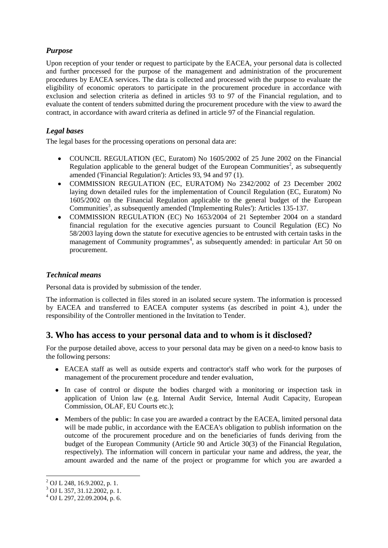### *Purpose*

Upon reception of your tender or request to participate by the EACEA, your personal data is collected and further processed for the purpose of the management and administration of the procurement procedures by EACEA services. The data is collected and processed with the purpose to evaluate the eligibility of economic operators to participate in the procurement procedure in accordance with exclusion and selection criteria as defined in articles 93 to 97 of the Financial regulation, and to evaluate the content of tenders submitted during the procurement procedure with the view to award the contract, in accordance with award criteria as defined in article 97 of the Financial regulation.

### *Legal bases*

The legal bases for the processing operations on personal data are:

- COUNCIL REGULATION (EC, Euratom) No 1605/2002 of 25 June 2002 on the Financial Regulation applicable to the general budget of the European Communities<sup>2</sup>, as subsequently amended ('Financial Regulation'): Articles 93, 94 and 97 (1).
- COMMISSION REGULATION (EC, EURATOM) No 2342/2002 of 23 December 2002  $\bullet$ laying down detailed rules for the implementation of Council Regulation (EC, Euratom) No 1605/2002 on the Financial Regulation applicable to the general budget of the European Communities<sup>3</sup>, as subsequently amended ('Implementing Rules'): Articles 135-137.
- COMMISSION REGULATION (EC) No 1653/2004 of 21 September 2004 on a standard financial regulation for the executive agencies pursuant to Council Regulation (EC) No 58/2003 laying down the statute for executive agencies to be entrusted with certain tasks in the management of Community programmes<sup>4</sup>, as subsequently amended: in particular Art 50 on procurement.

#### *Technical means*

Personal data is provided by submission of the tender.

The information is collected in files stored in an isolated secure system. The information is processed by EACEA and transferred to EACEA computer systems (as described in point 4.), under the responsibility of the Controller mentioned in the Invitation to Tender.

### **3. Who has access to your personal data and to whom is it disclosed?**

For the purpose detailed above, access to your personal data may be given on a need-to know basis to the following persons:

- EACEA staff as well as outside experts and contractor's staff who work for the purposes of management of the procurement procedure and tender evaluation,
- In case of control or dispute the bodies charged with a monitoring or inspection task in application of Union law (e.g. Internal Audit Service, Internal Audit Capacity, European Commission, OLAF, EU Courts etc.);
- Members of the public: In case you are awarded a contract by the EACEA, limited personal data will be made public, in accordance with the EACEA's obligation to publish information on the outcome of the procurement procedure and on the beneficiaries of funds deriving from the budget of the European Community (Article 90 and Article 30(3) of the Financial Regulation, respectively). The information will concern in particular your name and address, the year, the amount awarded and the name of the project or programme for which you are awarded a

1

<sup>2</sup> OJ L 248, 16.9.2002, p. 1.

 $3$  OJ L 357, 31.12.2002, p. 1.

 $^{4}$  OJ L 297, 22,09,2004, p. 6.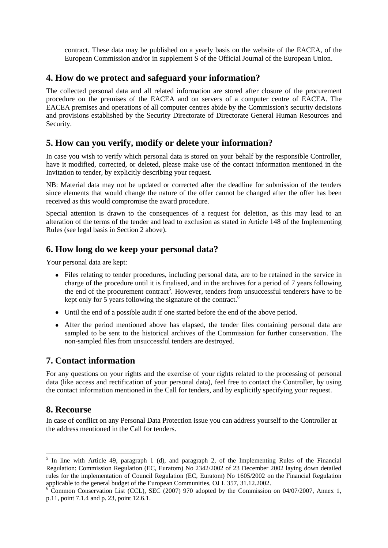contract. These data may be published on a yearly basis on the website of the EACEA, of the European Commission and/or in supplement S of the Official Journal of the European Union.

### **4. How do we protect and safeguard your information?**

The collected personal data and all related information are stored after closure of the procurement procedure on the premises of the EACEA and on servers of a computer centre of EACEA. The EACEA premises and operations of all computer centres abide by the Commission's security decisions and provisions established by the Security Directorate of Directorate General Human Resources and Security.

## **5. How can you verify, modify or delete your information?**

In case you wish to verify which personal data is stored on your behalf by the responsible Controller, have it modified, corrected, or deleted, please make use of the contact information mentioned in the Invitation to tender, by explicitly describing your request.

NB: Material data may not be updated or corrected after the deadline for submission of the tenders since elements that would change the nature of the offer cannot be changed after the offer has been received as this would compromise the award procedure.

Special attention is drawn to the consequences of a request for deletion, as this may lead to an alteration of the terms of the tender and lead to exclusion as stated in Article 148 of the Implementing Rules (see legal basis in Section 2 above).

## **6. How long do we keep your personal data?**

Your personal data are kept:

- Files relating to tender procedures, including personal data, are to be retained in the service in charge of the procedure until it is finalised, and in the archives for a period of 7 years following the end of the procurement contract<sup>5</sup>. However, tenders from unsuccessful tenderers have to be kept only for 5 years following the signature of the contract.<sup>6</sup>
- Until the end of a possible audit if one started before the end of the above period.
- After the period mentioned above has elapsed, the tender files containing personal data are sampled to be sent to the historical archives of the Commission for further conservation. The non-sampled files from unsuccessful tenders are destroyed.

## **7. Contact information**

For any questions on your rights and the exercise of your rights related to the processing of personal data (like access and rectification of your personal data), feel free to contact the Controller, by using the contact information mentioned in the Call for tenders, and by explicitly specifying your request.

## **8. Recourse**

1

In case of conflict on any Personal Data Protection issue you can address yourself to the Controller at the address mentioned in the Call for tenders.

<sup>5</sup> In line with Article 49, paragraph 1 (d), and paragraph 2, of the Implementing Rules of the Financial Regulation: Commission Regulation (EC, Euratom) No 2342/2002 of 23 December 2002 laying down detailed rules for the implementation of Council Regulation (EC, Euratom) No 1605/2002 on the Financial Regulation applicable to the general budget of the European Communities, OJ L 357, 31.12.2002.

 $6$  Common Conservation List (CCL), SEC (2007) 970 adopted by the Commission on 04/07/2007, Annex 1, p.11, point 7.1.4 and p. 23, point 12.6.1.